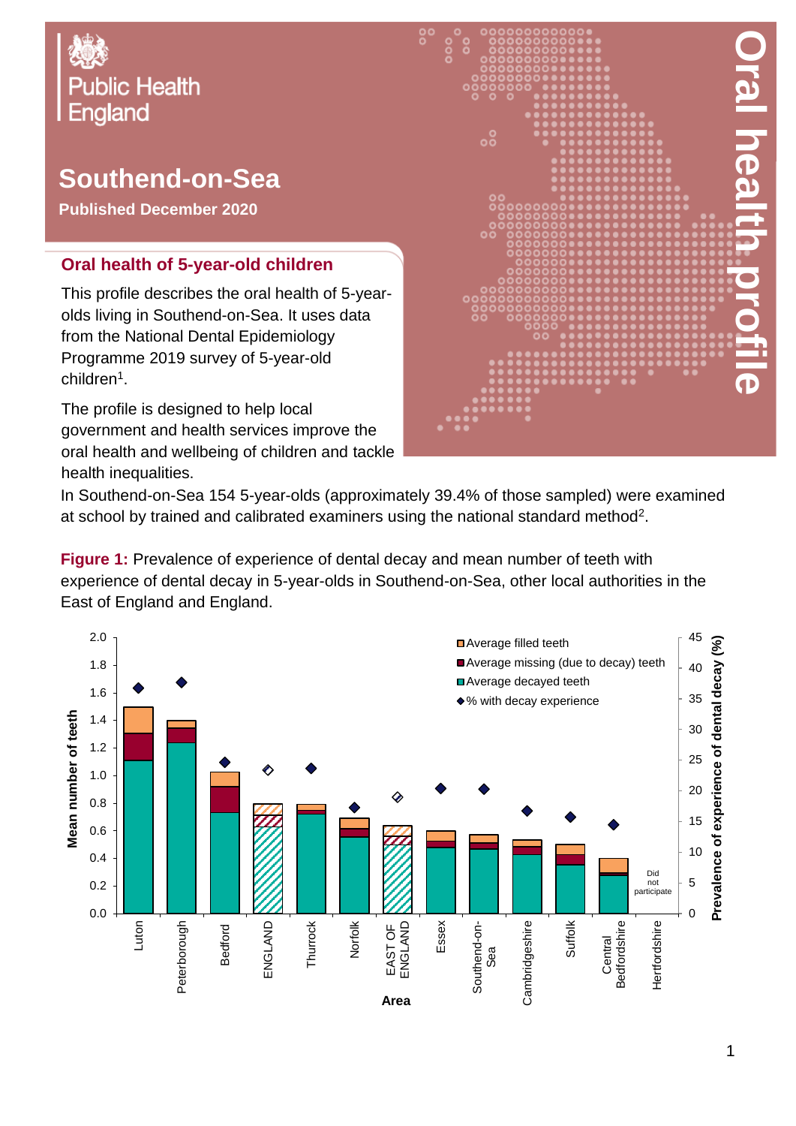

## **Southend-on-Sea**

**Published December 2020**

## **Oral health of 5-year-old children**

This profile describes the oral health of 5-yearolds living in Southend-on-Sea. It uses data from the National Dental Epidemiology Programme 2019 survey of 5-year-old children<sup>1</sup>.

The profile is designed to help local government and health services improve the oral health and wellbeing of children and tackle health inequalities.



In Southend-on-Sea 154 5-year-olds (approximately 39.4% of those sampled) were examined at school by trained and calibrated examiners using the national standard method<sup>2</sup>.

**Figure 1:** Prevalence of experience of dental decay and mean number of teeth with experience of dental decay in 5-year-olds in Southend-on-Sea, other local authorities in the East of England and England.

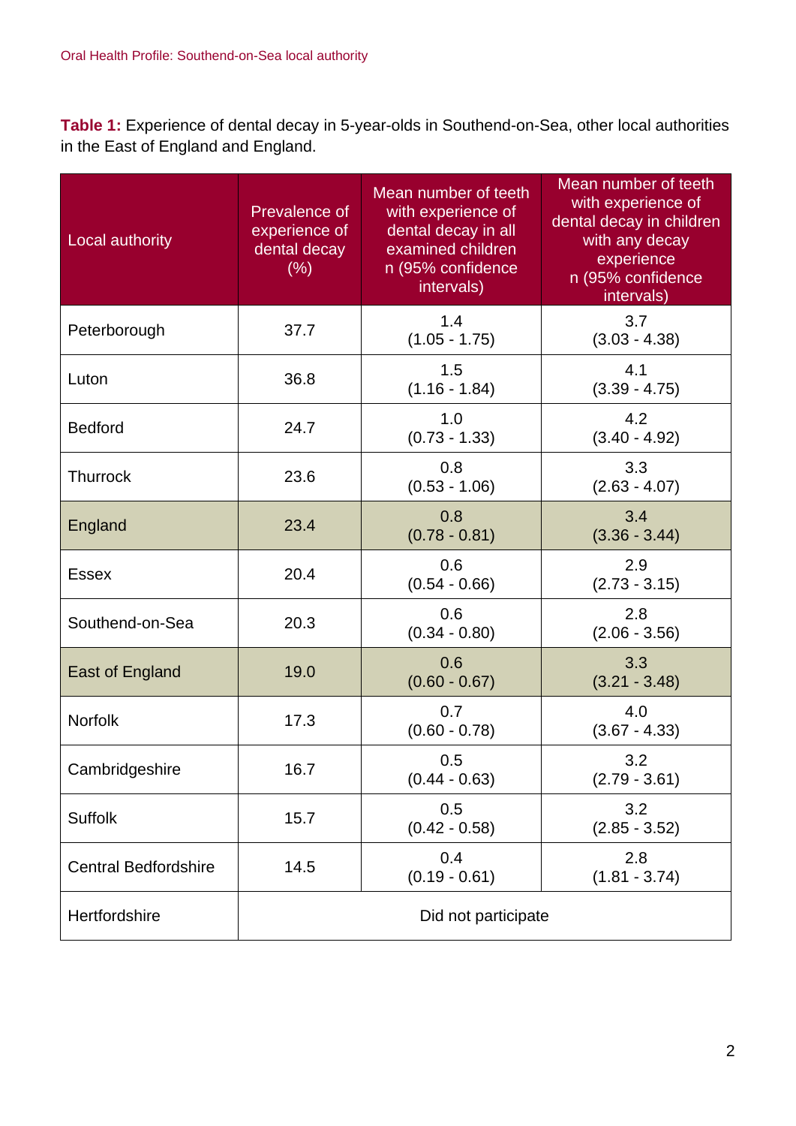**Table 1:** Experience of dental decay in 5-year-olds in Southend-on-Sea, other local authorities in the East of England and England.

| Local authority             | Prevalence of<br>experience of<br>dental decay<br>$(\%)$ | Mean number of teeth<br>with experience of<br>dental decay in all<br>examined children<br>n (95% confidence<br>intervals) | Mean number of teeth<br>with experience of<br>dental decay in children<br>with any decay<br>experience<br>n (95% confidence<br>intervals) |
|-----------------------------|----------------------------------------------------------|---------------------------------------------------------------------------------------------------------------------------|-------------------------------------------------------------------------------------------------------------------------------------------|
| Peterborough                | 37.7                                                     | 1.4<br>$(1.05 - 1.75)$                                                                                                    | 3.7<br>$(3.03 - 4.38)$                                                                                                                    |
| Luton                       | 36.8                                                     | 1.5<br>$(1.16 - 1.84)$                                                                                                    | 4.1<br>$(3.39 - 4.75)$                                                                                                                    |
| <b>Bedford</b>              | 24.7                                                     | 1.0<br>$(0.73 - 1.33)$                                                                                                    | 4.2<br>$(3.40 - 4.92)$                                                                                                                    |
| <b>Thurrock</b>             | 23.6                                                     | 0.8<br>$(0.53 - 1.06)$                                                                                                    | 3.3<br>$(2.63 - 4.07)$                                                                                                                    |
| England                     | 23.4                                                     | 0.8<br>$(0.78 - 0.81)$                                                                                                    | 3.4<br>$(3.36 - 3.44)$                                                                                                                    |
| <b>Essex</b>                | 20.4                                                     | 0.6<br>$(0.54 - 0.66)$                                                                                                    | 2.9<br>$(2.73 - 3.15)$                                                                                                                    |
| Southend-on-Sea             | 20.3                                                     | 0.6<br>$(0.34 - 0.80)$                                                                                                    | 2.8<br>$(2.06 - 3.56)$                                                                                                                    |
| East of England             | 19.0                                                     | 0.6<br>$(0.60 - 0.67)$                                                                                                    | 3.3<br>$(3.21 - 3.48)$                                                                                                                    |
| Norfolk                     | 17.3                                                     | 0.7<br>$(0.60 - 0.78)$                                                                                                    | 4.0<br>$(3.67 - 4.33)$                                                                                                                    |
| Cambridgeshire              | 16.7                                                     | 0.5<br>$(0.44 - 0.63)$                                                                                                    | 3.2<br>$(2.79 - 3.61)$                                                                                                                    |
| <b>Suffolk</b>              | 15.7                                                     | 0.5<br>$(0.42 - 0.58)$                                                                                                    | 3.2<br>$(2.85 - 3.52)$                                                                                                                    |
| <b>Central Bedfordshire</b> | 14.5                                                     | 0.4<br>$(0.19 - 0.61)$                                                                                                    | 2.8<br>$(1.81 - 3.74)$                                                                                                                    |
| Hertfordshire               |                                                          | Did not participate                                                                                                       |                                                                                                                                           |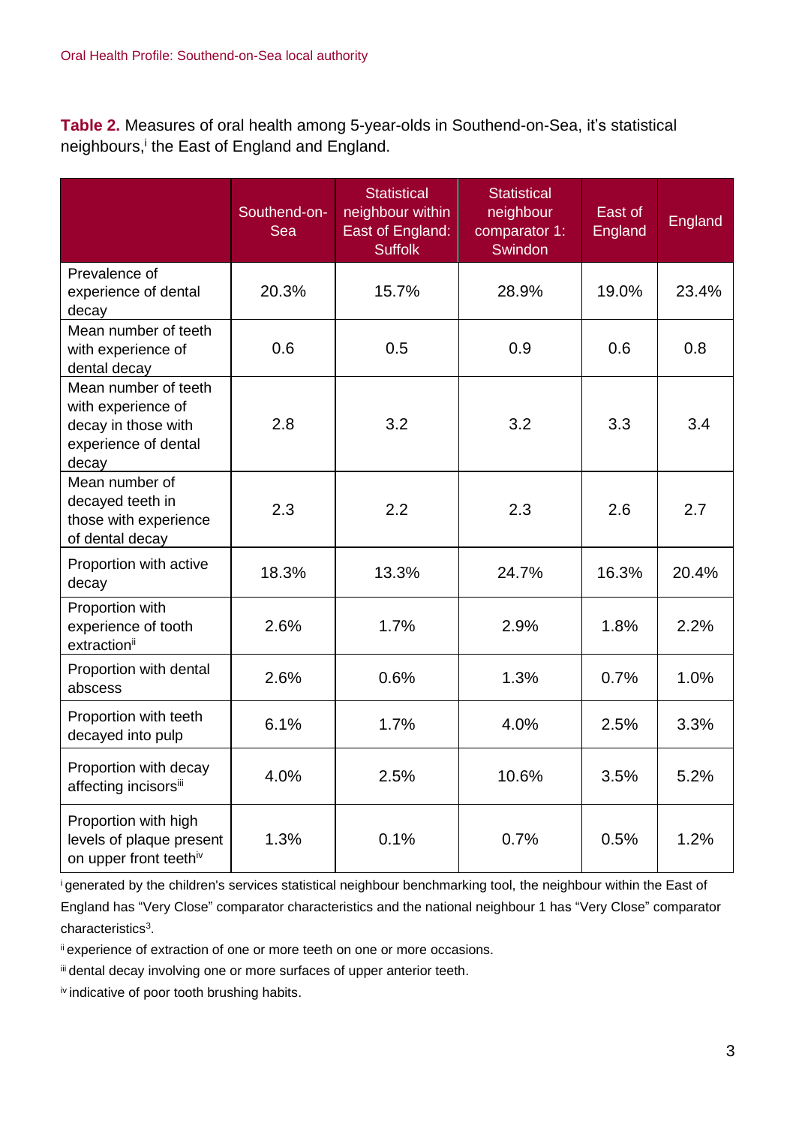**Table 2.** Measures of oral health among 5-year-olds in Southend-on-Sea, it's statistical neighbours, i the East of England and England.

|                                                                                                    | Southend-on-<br>Sea | <b>Statistical</b><br>neighbour within<br>East of England:<br><b>Suffolk</b> | <b>Statistical</b><br>neighbour<br>comparator 1:<br>Swindon | East of<br>England | <b>England</b> |
|----------------------------------------------------------------------------------------------------|---------------------|------------------------------------------------------------------------------|-------------------------------------------------------------|--------------------|----------------|
| Prevalence of<br>experience of dental<br>decay                                                     | 20.3%               | 15.7%                                                                        | 28.9%                                                       | 19.0%              | 23.4%          |
| Mean number of teeth<br>with experience of<br>dental decay                                         | 0.6                 | 0.5                                                                          | 0.9                                                         | 0.6                | 0.8            |
| Mean number of teeth<br>with experience of<br>decay in those with<br>experience of dental<br>decay | 2.8                 | 3.2                                                                          | 3.2                                                         | 3.3                | 3.4            |
| Mean number of<br>decayed teeth in<br>those with experience<br>of dental decay                     | 2.3                 | 2.2                                                                          | 2.3                                                         | 2.6                | 2.7            |
| Proportion with active<br>decay                                                                    | 18.3%               | 13.3%                                                                        | 24.7%                                                       | 16.3%              | 20.4%          |
| Proportion with<br>experience of tooth<br>extractionii                                             | 2.6%                | 1.7%                                                                         | 2.9%                                                        | 1.8%               | 2.2%           |
| Proportion with dental<br>abscess                                                                  | 2.6%                | 0.6%                                                                         | 1.3%                                                        | 0.7%               | 1.0%           |
| Proportion with teeth<br>decayed into pulp                                                         | 6.1%                | 1.7%                                                                         | 4.0%                                                        | 2.5%               | 3.3%           |
| Proportion with decay<br>affecting incisorsii                                                      | 4.0%                | 2.5%                                                                         | 10.6%                                                       | 3.5%               | 5.2%           |
| Proportion with high<br>levels of plaque present<br>on upper front teethiv                         | 1.3%                | 0.1%                                                                         | 0.7%                                                        | 0.5%               | 1.2%           |

<sup>i</sup>generated by the children's services statistical neighbour benchmarking tool, the neighbour within the East of England has "Very Close" comparator characteristics and the national neighbour 1 has "Very Close" comparator characteristics<sup>3</sup>.

ii experience of extraction of one or more teeth on one or more occasions.

iii dental decay involving one or more surfaces of upper anterior teeth.

iv indicative of poor tooth brushing habits.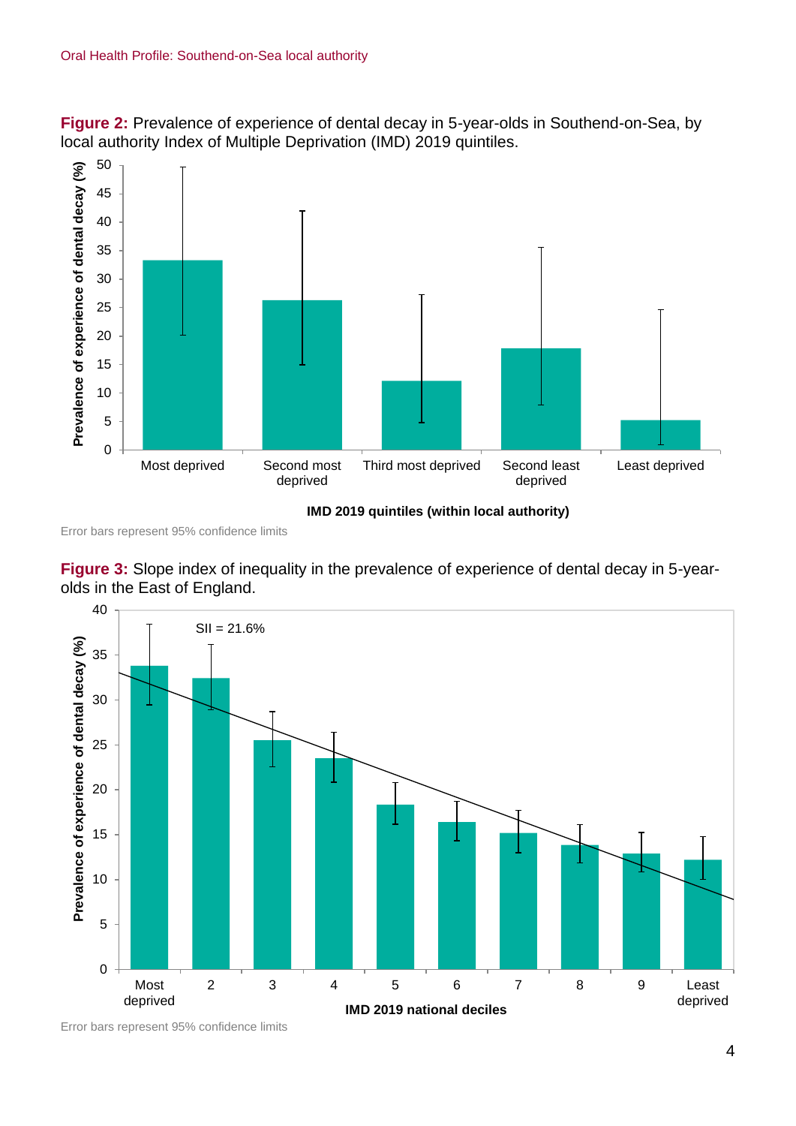**Figure 2:** Prevalence of experience of dental decay in 5-year-olds in Southend-on-Sea, by local authority Index of Multiple Deprivation (IMD) 2019 quintiles.



Error bars represent 95% confidence limits





Error bars represent 95% confidence limits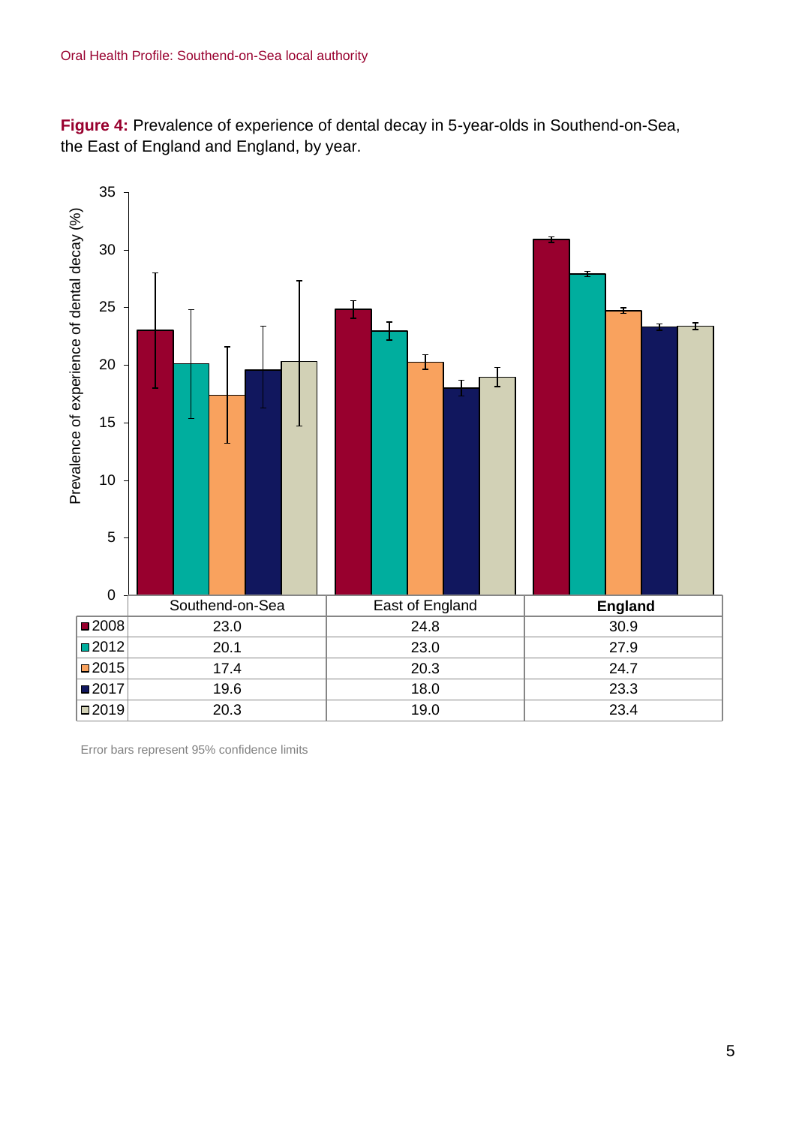**Figure 4:** Prevalence of experience of dental decay in 5-year-olds in Southend-on-Sea, the East of England and England, by year.



Error bars represent 95% confidence limits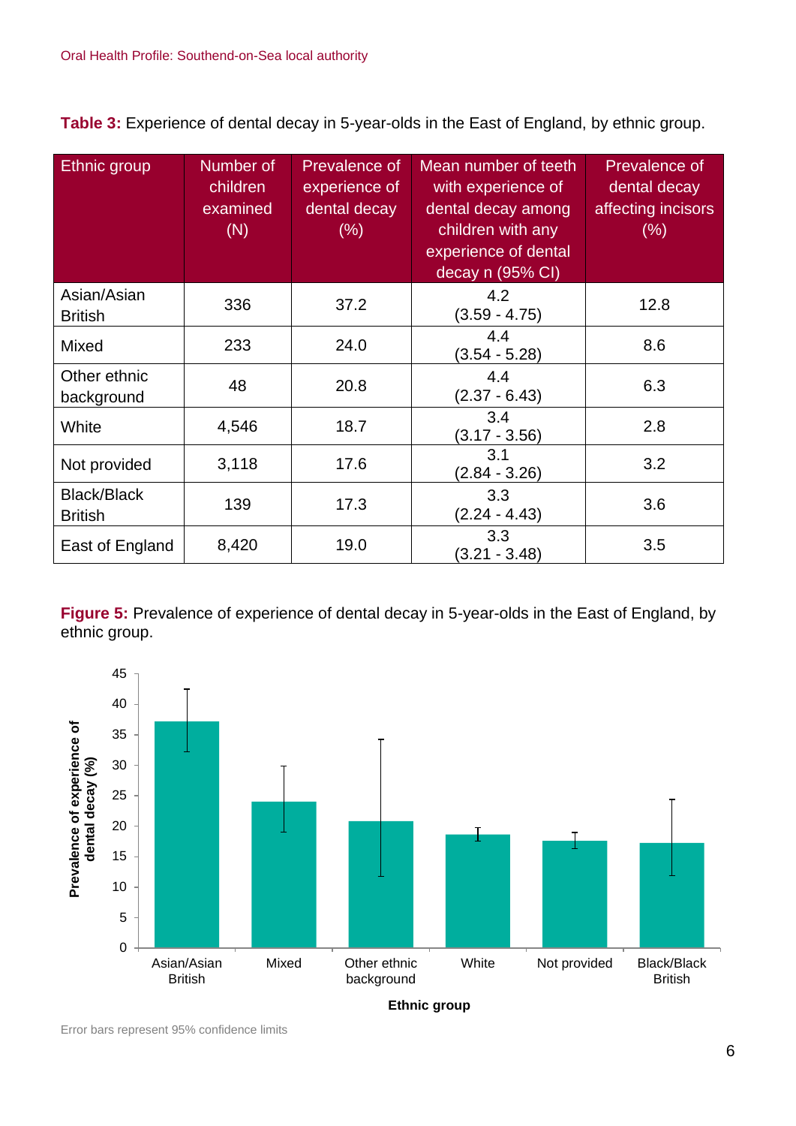**Table 3:** Experience of dental decay in 5-year-olds in the East of England, by ethnic group.

| Ethnic group                         | Number of<br>children<br>examined<br>(N) | Prevalence of<br>experience of<br>dental decay<br>$(\% )$ | Mean number of teeth<br>with experience of<br>dental decay among<br>children with any<br>experience of dental<br>decay n (95% CI) | Prevalence of<br>dental decay<br>affecting incisors<br>(%) |
|--------------------------------------|------------------------------------------|-----------------------------------------------------------|-----------------------------------------------------------------------------------------------------------------------------------|------------------------------------------------------------|
| Asian/Asian<br><b>British</b>        | 336                                      | 37.2                                                      | 4.2<br>$(3.59 - 4.75)$                                                                                                            | 12.8                                                       |
| Mixed                                | 233                                      | 24.0                                                      | 4.4<br>$(3.54 - 5.28)$                                                                                                            | 8.6                                                        |
| Other ethnic<br>background           | 48                                       | 20.8                                                      | 4.4<br>$(2.37 - 6.43)$                                                                                                            | 6.3                                                        |
| White                                | 4,546                                    | 18.7                                                      | 3.4<br>$(3.17 - 3.56)$                                                                                                            | 2.8                                                        |
| Not provided                         | 3,118                                    | 17.6                                                      | 3.1<br>$(2.84 - 3.26)$                                                                                                            | 3.2                                                        |
| <b>Black/Black</b><br><b>British</b> | 139                                      | 17.3                                                      | 3.3<br>$(2.24 - 4.43)$                                                                                                            | 3.6                                                        |
| East of England                      | 8,420                                    | 19.0                                                      | 3.3<br>$(3.21 - 3.48)$                                                                                                            | 3.5                                                        |

**Figure 5:** Prevalence of experience of dental decay in 5-year-olds in the East of England, by ethnic group.



Error bars represent 95% confidence limits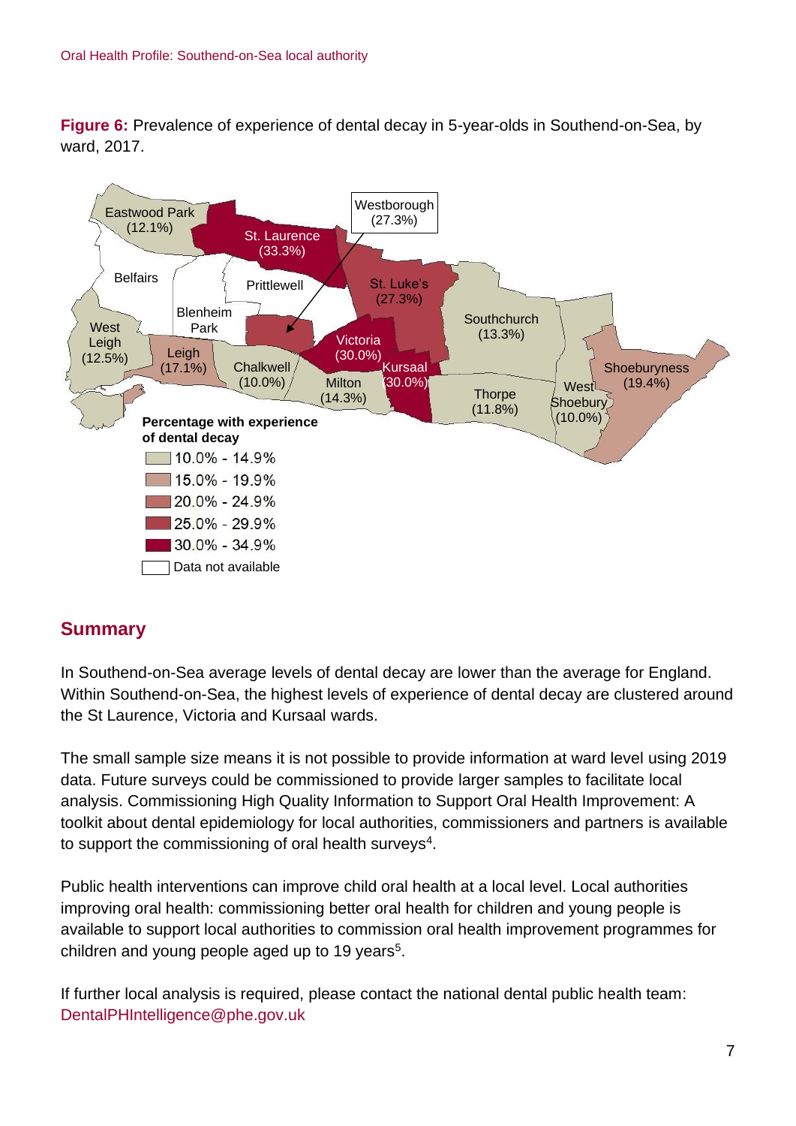**Figure 6:** Prevalence of experience of dental decay in 5-year-olds in Southend-on-Sea, by ward, 2017.



## **Summary**

In Southend-on-Sea average levels of dental decay are lower than the average for England. Within Southend-on-Sea, the highest levels of experience of dental decay are clustered around the St Laurence, Victoria and Kursaal wards.

The small sample size means it is not possible to provide information at ward level using 2019 data. Future surveys could be commissioned to provide larger samples to facilitate local analysis. Commissioning High Quality Information to Support Oral Health Improvement: A toolkit about dental epidemiology for local authorities, commissioners and partners is available to support the commissioning of oral health surveys<sup>4</sup>.

Public health interventions can improve child oral health at a local level. Local authorities improving oral health: commissioning better oral health for children and young people is available to support local authorities to commission oral health improvement programmes for children and young people aged up to 19 years<sup>5</sup>.

If further local analysis is required, please contact the national dental public health team: DentalPHIntelligence@phe.gov.uk